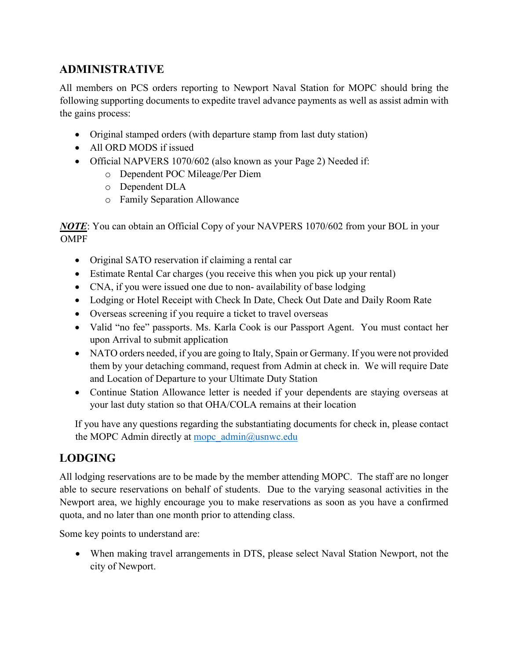# **ADMINISTRATIVE**

All members on PCS orders reporting to Newport Naval Station for MOPC should bring the following supporting documents to expedite travel advance payments as well as assist admin with the gains process:

- Original stamped orders (with departure stamp from last duty station)
- All ORD MODS if issued
- Official NAPVERS 1070/602 (also known as your Page 2) Needed if:
	- o Dependent POC Mileage/Per Diem
	- o Dependent DLA
	- o Family Separation Allowance

*NOTE*: You can obtain an Official Copy of your NAVPERS 1070/602 from your BOL in your OMPF

- Original SATO reservation if claiming a rental car
- Estimate Rental Car charges (you receive this when you pick up your rental)
- CNA, if you were issued one due to non-availability of base lodging
- Lodging or Hotel Receipt with Check In Date, Check Out Date and Daily Room Rate
- Overseas screening if you require a ticket to travel overseas
- Valid "no fee" passports. Ms. Karla Cook is our Passport Agent. You must contact her upon Arrival to submit application
- NATO orders needed, if you are going to Italy, Spain or Germany. If you were not provided them by your detaching command, request from Admin at check in. We will require Date and Location of Departure to your Ultimate Duty Station
- Continue Station Allowance letter is needed if your dependents are staying overseas at your last duty station so that OHA/COLA remains at their location

If you have any questions regarding the substantiating documents for check in, please contact the MOPC Admin directly at mopc  $\alpha$ dmin $\omega$ usnwc.edu

# **LODGING**

All lodging reservations are to be made by the member attending MOPC. The staff are no longer able to secure reservations on behalf of students. Due to the varying seasonal activities in the Newport area, we highly encourage you to make reservations as soon as you have a confirmed quota, and no later than one month prior to attending class.

Some key points to understand are:

• When making travel arrangements in DTS, please select Naval Station Newport, not the city of Newport.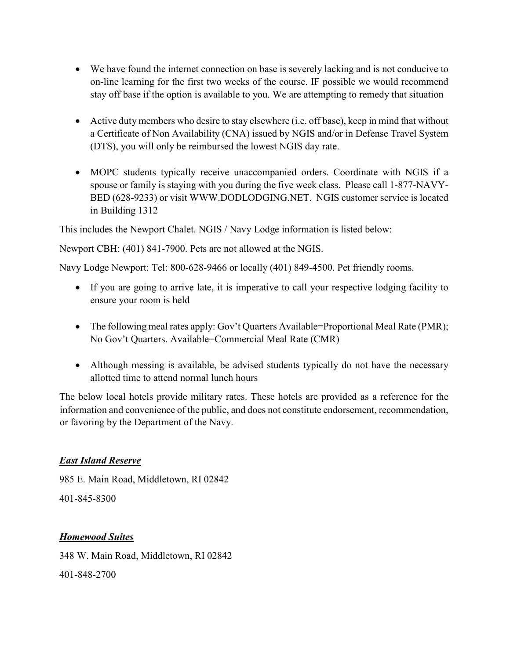- We have found the internet connection on base is severely lacking and is not conducive to on-line learning for the first two weeks of the course. IF possible we would recommend stay off base if the option is available to you. We are attempting to remedy that situation
- Active duty members who desire to stay elsewhere (i.e. off base), keep in mind that without a Certificate of Non Availability (CNA) issued by NGIS and/or in Defense Travel System (DTS), you will only be reimbursed the lowest NGIS day rate.
- MOPC students typically receive unaccompanied orders. Coordinate with NGIS if a spouse or family is staying with you during the five week class. Please call 1-877-NAVY-BED (628-9233) or visit WWW.DODLODGING.NET. NGIS customer service is located in Building 1312

This includes the Newport Chalet. NGIS / Navy Lodge information is listed below:

Newport CBH: (401) 841-7900. Pets are not allowed at the NGIS.

Navy Lodge Newport: Tel: 800-628-9466 or locally (401) 849-4500. Pet friendly rooms.

- If you are going to arrive late, it is imperative to call your respective lodging facility to ensure your room is held
- The following meal rates apply: Gov't Quarters Available=Proportional Meal Rate (PMR); No Gov't Quarters. Available=Commercial Meal Rate (CMR)
- Although messing is available, be advised students typically do not have the necessary allotted time to attend normal lunch hours

The below local hotels provide military rates. These hotels are provided as a reference for the information and convenience of the public, and does not constitute endorsement, recommendation, or favoring by the Department of the Navy.

## *East Island Reserve*

985 E. Main Road, Middletown, RI 02842 401-845-8300

## *Homewood Suites*

348 W. Main Road, Middletown, RI 02842 401-848-2700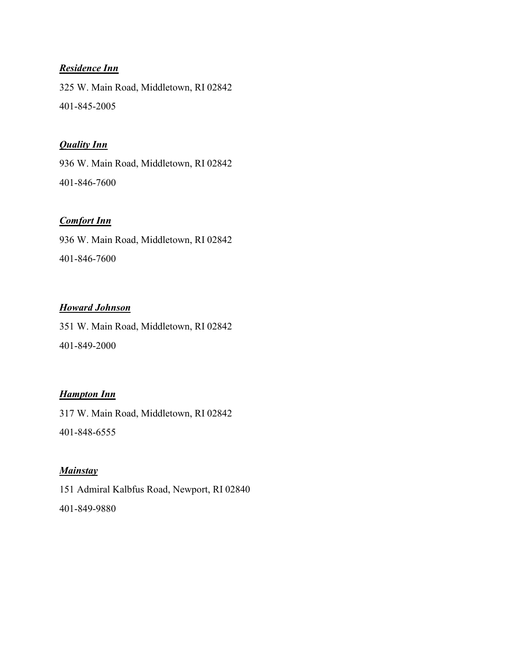## *Residence Inn*

325 W. Main Road, Middletown, RI 02842 401-845-2005

#### *Quality Inn*

936 W. Main Road, Middletown, RI 02842 401-846-7600

## *Comfort Inn*

936 W. Main Road, Middletown, RI 02842 401-846-7600

## *Howard Johnson*

351 W. Main Road, Middletown, RI 02842 401-849-2000

## *Hampton Inn*

317 W. Main Road, Middletown, RI 02842 401-848-6555

#### *Mainstay*

151 Admiral Kalbfus Road, Newport, RI 02840 401-849-9880